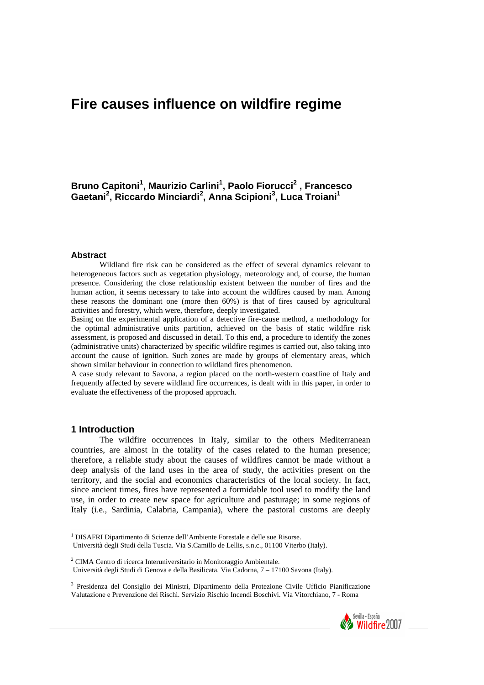# **Fire causes influence on wildfire regime**

**Bruno Capitoni1 , Maurizio Carlini1 , Paolo Fiorucci2 , Francesco Gaetani<sup>2</sup> , Riccardo Minciardi<sup>2</sup> , Anna Scipioni<sup>3</sup> , Luca Troiani<sup>1</sup>**

#### **Abstract**

Wildland fire risk can be considered as the effect of several dynamics relevant to heterogeneous factors such as vegetation physiology, meteorology and, of course, the human presence. Considering the close relationship existent between the number of fires and the human action, it seems necessary to take into account the wildfires caused by man. Among these reasons the dominant one (more then 60%) is that of fires caused by agricultural activities and forestry, which were, therefore, deeply investigated.

Basing on the experimental application of a detective fire-cause method, a methodology for the optimal administrative units partition, achieved on the basis of static wildfire risk assessment, is proposed and discussed in detail. To this end, a procedure to identify the zones (administrative units) characterized by specific wildfire regimes is carried out, also taking into account the cause of ignition. Such zones are made by groups of elementary areas, which shown similar behaviour in connection to wildland fires phenomenon.

A case study relevant to Savona, a region placed on the north-western coastline of Italy and frequently affected by severe wildland fire occurrences, is dealt with in this paper, in order to evaluate the effectiveness of the proposed approach.

#### **1 Introduction**

The wildfire occurrences in Italy, similar to the others Mediterranean countries, are almost in the totality of the cases related to the human presence; therefore, a reliable study about the causes of wildfires cannot be made without a deep analysis of the land uses in the area of study, the activities present on the territory, and the social and economics characteristics of the local society. In fact, since ancient times, fires have represented a formidable tool used to modify the land use, in order to create new space for agriculture and pasturage; in some regions of Italy (i.e., Sardinia, Calabria, Campania), where the pastoral customs are deeply

<sup>3</sup> Presidenza del Consiglio dei Ministri, Dipartimento della Protezione Civile Ufficio Pianificazione Valutazione e Prevenzione dei Rischi. Servizio Rischio Incendi Boschivi. Via Vitorchiano, 7 - Roma



<sup>&</sup>lt;sup>1</sup> DISAFRI Dipartimento di Scienze dell'Ambiente Forestale e delle sue Risorse. Università degli Studi della Tuscia. Via S.Camillo de Lellis, s.n.c., 01100 Viterbo (Italy).

<sup>&</sup>lt;sup>2</sup> CIMA Centro di ricerca Interuniversitario in Monitoraggio Ambientale.

Università degli Studi di Genova e della Basilicata. Via Cadorna, 7 – 17100 Savona (Italy).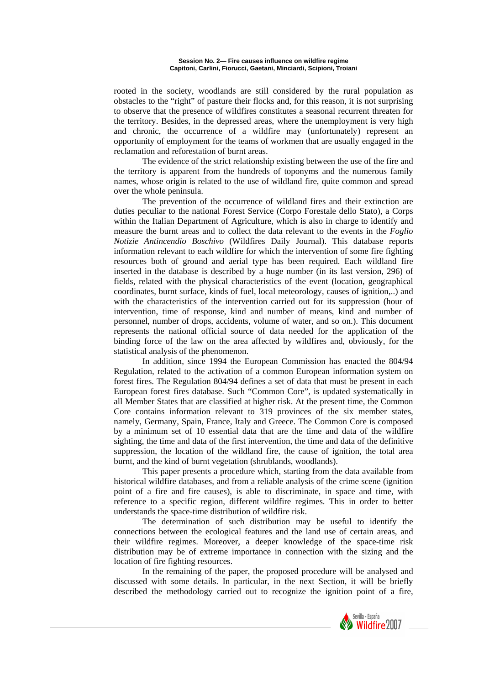rooted in the society, woodlands are still considered by the rural population as obstacles to the "right" of pasture their flocks and, for this reason, it is not surprising to observe that the presence of wildfires constitutes a seasonal recurrent threaten for the territory. Besides, in the depressed areas, where the unemployment is very high and chronic, the occurrence of a wildfire may (unfortunately) represent an opportunity of employment for the teams of workmen that are usually engaged in the reclamation and reforestation of burnt areas.

The evidence of the strict relationship existing between the use of the fire and the territory is apparent from the hundreds of toponyms and the numerous family names, whose origin is related to the use of wildland fire, quite common and spread over the whole peninsula.

The prevention of the occurrence of wildland fires and their extinction are duties peculiar to the national Forest Service (Corpo Forestale dello Stato), a Corps within the Italian Department of Agriculture, which is also in charge to identify and measure the burnt areas and to collect the data relevant to the events in the *Foglio Notizie Antincendio Boschivo* (Wildfires Daily Journal). This database reports information relevant to each wildfire for which the intervention of some fire fighting resources both of ground and aerial type has been required. Each wildland fire inserted in the database is described by a huge number (in its last version, 296) of fields, related with the physical characteristics of the event (location, geographical coordinates, burnt surface, kinds of fuel, local meteorology, causes of ignition,..) and with the characteristics of the intervention carried out for its suppression (hour of intervention, time of response, kind and number of means, kind and number of personnel, number of drops, accidents, volume of water, and so on.). This document represents the national official source of data needed for the application of the binding force of the law on the area affected by wildfires and, obviously, for the statistical analysis of the phenomenon.

In addition, since 1994 the European Commission has enacted the 804/94 Regulation, related to the activation of a common European information system on forest fires. The Regulation 804/94 defines a set of data that must be present in each European forest fires database. Such "Common Core", is updated systematically in all Member States that are classified at higher risk. At the present time, the Common Core contains information relevant to 319 provinces of the six member states, namely, Germany, Spain, France, Italy and Greece. The Common Core is composed by a minimum set of 10 essential data that are the time and data of the wildfire sighting, the time and data of the first intervention, the time and data of the definitive suppression, the location of the wildland fire, the cause of ignition, the total area burnt, and the kind of burnt vegetation (shrublands, woodlands).

This paper presents a procedure which, starting from the data available from historical wildfire databases, and from a reliable analysis of the crime scene (ignition point of a fire and fire causes), is able to discriminate, in space and time, with reference to a specific region, different wildfire regimes. This in order to better understands the space-time distribution of wildfire risk.

The determination of such distribution may be useful to identify the connections between the ecological features and the land use of certain areas, and their wildfire regimes. Moreover, a deeper knowledge of the space-time risk distribution may be of extreme importance in connection with the sizing and the location of fire fighting resources.

In the remaining of the paper, the proposed procedure will be analysed and discussed with some details. In particular, in the next Section, it will be briefly described the methodology carried out to recognize the ignition point of a fire,

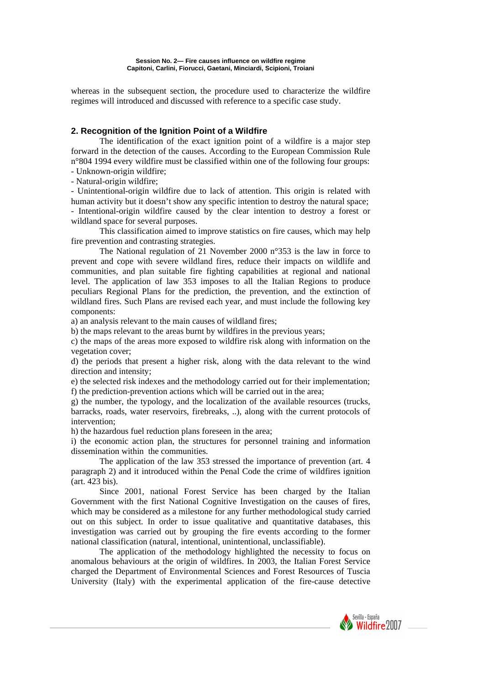whereas in the subsequent section, the procedure used to characterize the wildfire regimes will introduced and discussed with reference to a specific case study.

## **2. Recognition of the Ignition Point of a Wildfire**

The identification of the exact ignition point of a wildfire is a major step forward in the detection of the causes. According to the European Commission Rule n°804 1994 every wildfire must be classified within one of the following four groups:

- Unknown-origin wildfire;

- Natural-origin wildfire;

- Unintentional-origin wildfire due to lack of attention. This origin is related with human activity but it doesn't show any specific intention to destroy the natural space; - Intentional-origin wildfire caused by the clear intention to destroy a forest or wildland space for several purposes.

This classification aimed to improve statistics on fire causes, which may help fire prevention and contrasting strategies.

The National regulation of 21 November 2000 n°353 is the law in force to prevent and cope with severe wildland fires, reduce their impacts on wildlife and communities, and plan suitable fire fighting capabilities at regional and national level. The application of law 353 imposes to all the Italian Regions to produce peculiars Regional Plans for the prediction, the prevention, and the extinction of wildland fires. Such Plans are revised each year, and must include the following key components:

a) an analysis relevant to the main causes of wildland fires;

b) the maps relevant to the areas burnt by wildfires in the previous years;

c) the maps of the areas more exposed to wildfire risk along with information on the vegetation cover;

d) the periods that present a higher risk, along with the data relevant to the wind direction and intensity;

e) the selected risk indexes and the methodology carried out for their implementation; f) the prediction-prevention actions which will be carried out in the area;

g) the number, the typology, and the localization of the available resources (trucks, barracks, roads, water reservoirs, firebreaks, ..), along with the current protocols of intervention;

h) the hazardous fuel reduction plans foreseen in the area;

i) the economic action plan, the structures for personnel training and information dissemination within the communities.

The application of the law 353 stressed the importance of prevention (art. 4 paragraph 2) and it introduced within the Penal Code the crime of wildfires ignition (art. 423 bis).

Since 2001, national Forest Service has been charged by the Italian Government with the first National Cognitive Investigation on the causes of fires, which may be considered as a milestone for any further methodological study carried out on this subject. In order to issue qualitative and quantitative databases, this investigation was carried out by grouping the fire events according to the former national classification (natural, intentional, unintentional, unclassifiable).

The application of the methodology highlighted the necessity to focus on anomalous behaviours at the origin of wildfires. In 2003, the Italian Forest Service charged the Department of Environmental Sciences and Forest Resources of Tuscia University (Italy) with the experimental application of the fire-cause detective

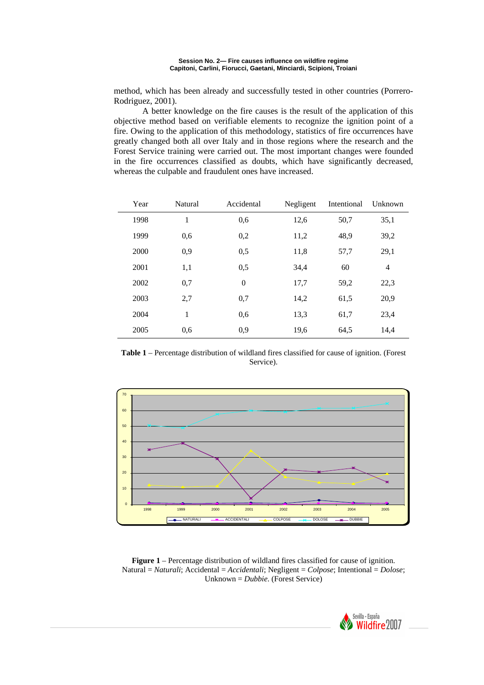method, which has been already and successfully tested in other countries (Porrero-Rodriguez, 2001).

A better knowledge on the fire causes is the result of the application of this objective method based on verifiable elements to recognize the ignition point of a fire. Owing to the application of this methodology, statistics of fire occurrences have greatly changed both all over Italy and in those regions where the research and the Forest Service training were carried out. The most important changes were founded in the fire occurrences classified as doubts, which have significantly decreased, whereas the culpable and fraudulent ones have increased.

| Year | Natural      | Accidental     | Negligent | Intentional | Unknown        |
|------|--------------|----------------|-----------|-------------|----------------|
| 1998 | $\mathbf{1}$ | 0,6            | 12,6      | 50,7        | 35,1           |
| 1999 | 0,6          | 0,2            | 11,2      | 48,9        | 39,2           |
| 2000 | 0,9          | 0,5            | 11,8      | 57,7        | 29,1           |
| 2001 | 1,1          | 0,5            | 34,4      | 60          | $\overline{4}$ |
| 2002 | 0,7          | $\overline{0}$ | 17,7      | 59,2        | 22,3           |
| 2003 | 2,7          | 0,7            | 14,2      | 61,5        | 20,9           |
| 2004 | 1            | 0,6            | 13,3      | 61,7        | 23,4           |
| 2005 | 0,6          | 0,9            | 19,6      | 64,5        | 14,4           |

**Table 1** – Percentage distribution of wildland fires classified for cause of ignition. (Forest Service).



**Figure 1** – Percentage distribution of wildland fires classified for cause of ignition. Natural = *Naturali*; Accidental = *Accidentali*; Negligent = *Colpose*; Intentional = *Dolose*; Unknown = *Dubbie*. (Forest Service)

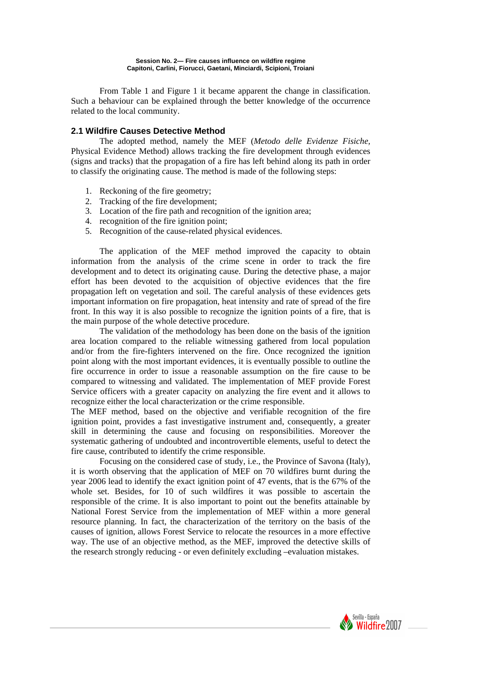From Table 1 and Figure 1 it became apparent the change in classification. Such a behaviour can be explained through the better knowledge of the occurrence related to the local community.

## **2.1 Wildfire Causes Detective Method**

The adopted method, namely the MEF (*Metodo delle Evidenze Fisiche,* Physical Evidence Method) allows tracking the fire development through evidences (signs and tracks) that the propagation of a fire has left behind along its path in order to classify the originating cause. The method is made of the following steps:

- 1. Reckoning of the fire geometry;
- 2. Tracking of the fire development;
- 3. Location of the fire path and recognition of the ignition area;
- 4. recognition of the fire ignition point;
- 5. Recognition of the cause-related physical evidences.

The application of the MEF method improved the capacity to obtain information from the analysis of the crime scene in order to track the fire development and to detect its originating cause. During the detective phase, a major effort has been devoted to the acquisition of objective evidences that the fire propagation left on vegetation and soil. The careful analysis of these evidences gets important information on fire propagation, heat intensity and rate of spread of the fire front. In this way it is also possible to recognize the ignition points of a fire, that is the main purpose of the whole detective procedure.

The validation of the methodology has been done on the basis of the ignition area location compared to the reliable witnessing gathered from local population and/or from the fire-fighters intervened on the fire. Once recognized the ignition point along with the most important evidences, it is eventually possible to outline the fire occurrence in order to issue a reasonable assumption on the fire cause to be compared to witnessing and validated. The implementation of MEF provide Forest Service officers with a greater capacity on analyzing the fire event and it allows to recognize either the local characterization or the crime responsible.

The MEF method, based on the objective and verifiable recognition of the fire ignition point, provides a fast investigative instrument and, consequently, a greater skill in determining the cause and focusing on responsibilities. Moreover the systematic gathering of undoubted and incontrovertible elements, useful to detect the fire cause, contributed to identify the crime responsible.

Focusing on the considered case of study, i.e., the Province of Savona (Italy), it is worth observing that the application of MEF on 70 wildfires burnt during the year 2006 lead to identify the exact ignition point of 47 events, that is the 67% of the whole set. Besides, for 10 of such wildfires it was possible to ascertain the responsible of the crime. It is also important to point out the benefits attainable by National Forest Service from the implementation of MEF within a more general resource planning. In fact, the characterization of the territory on the basis of the causes of ignition, allows Forest Service to relocate the resources in a more effective way. The use of an objective method, as the MEF, improved the detective skills of the research strongly reducing - or even definitely excluding –evaluation mistakes.

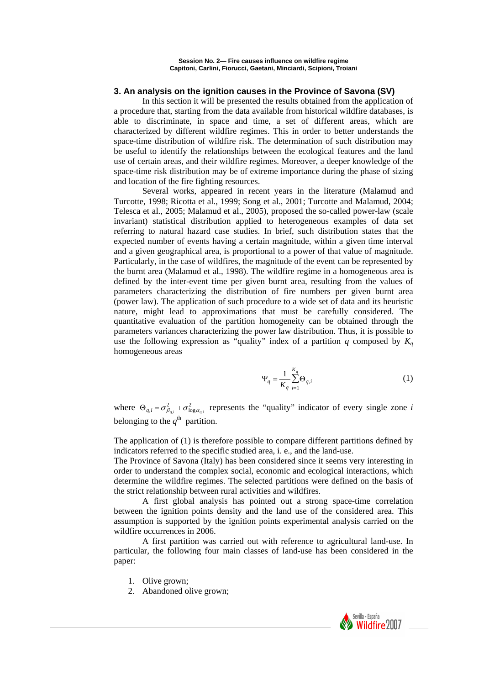## **3. An analysis on the ignition causes in the Province of Savona (SV)**

In this section it will be presented the results obtained from the application of a procedure that, starting from the data available from historical wildfire databases, is able to discriminate, in space and time, a set of different areas, which are characterized by different wildfire regimes. This in order to better understands the space-time distribution of wildfire risk. The determination of such distribution may be useful to identify the relationships between the ecological features and the land use of certain areas, and their wildfire regimes. Moreover, a deeper knowledge of the space-time risk distribution may be of extreme importance during the phase of sizing and location of the fire fighting resources.

Several works, appeared in recent years in the literature (Malamud and Turcotte, 1998; Ricotta et al., 1999; Song et al., 2001; Turcotte and Malamud, 2004; Telesca et al., 2005; Malamud et al., 2005), proposed the so-called power-law (scale invariant) statistical distribution applied to heterogeneous examples of data set referring to natural hazard case studies. In brief, such distribution states that the expected number of events having a certain magnitude, within a given time interval and a given geographical area, is proportional to a power of that value of magnitude. Particularly, in the case of wildfires, the magnitude of the event can be represented by the burnt area (Malamud et al., 1998). The wildfire regime in a homogeneous area is defined by the inter-event time per given burnt area, resulting from the values of parameters characterizing the distribution of fire numbers per given burnt area (power law). The application of such procedure to a wide set of data and its heuristic nature, might lead to approximations that must be carefully considered. The quantitative evaluation of the partition homogeneity can be obtained through the parameters variances characterizing the power law distribution. Thus, it is possible to use the following expression as "quality" index of a partition  $q$  composed by  $K_q$ homogeneous areas

$$
\Psi_q = \frac{1}{K_q} \sum_{i=1}^{K_q} \Theta_{q,i} \tag{1}
$$

where  $\Theta_{q,i} = \sigma_{\beta_{q,i}}^2 + \sigma_{\log \alpha_{q,i}}^2$  represents the "quality" indicator of every single zone *i* belonging to the  $q^{\text{th}}$  partition.

The application of (1) is therefore possible to compare different partitions defined by indicators referred to the specific studied area, i. e., and the land-use.

The Province of Savona (Italy) has been considered since it seems very interesting in order to understand the complex social, economic and ecological interactions, which determine the wildfire regimes. The selected partitions were defined on the basis of the strict relationship between rural activities and wildfires.

A first global analysis has pointed out a strong space-time correlation between the ignition points density and the land use of the considered area. This assumption is supported by the ignition points experimental analysis carried on the wildfire occurrences in 2006.

 A first partition was carried out with reference to agricultural land-use. In particular, the following four main classes of land-use has been considered in the paper:

- 1. Olive grown;
- 2. Abandoned olive grown;

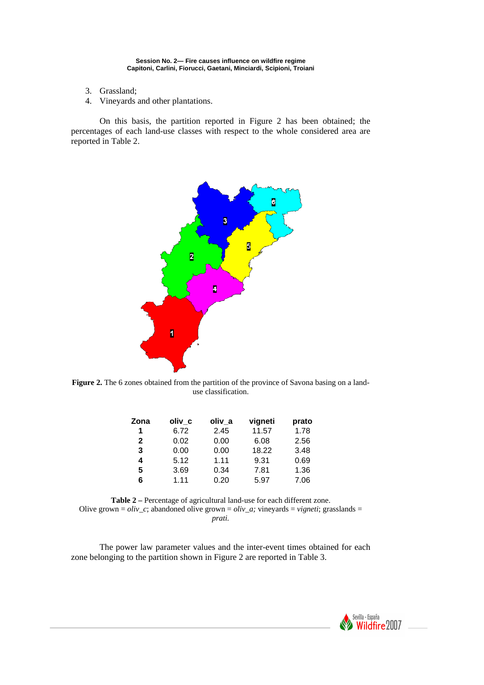- 3. Grassland;
- 4. Vineyards and other plantations.

On this basis, the partition reported in Figure 2 has been obtained; the percentages of each land-use classes with respect to the whole considered area are reported in Table 2.



Figure 2. The 6 zones obtained from the partition of the province of Savona basing on a landuse classification.

| Zona         | oliv c | oliv_a | vigneti | prato |
|--------------|--------|--------|---------|-------|
| 1            | 6.72   | 2.45   | 11.57   | 1.78  |
| $\mathbf{2}$ | 0.02   | 0.00   | 6.08    | 2.56  |
| 3            | 0.00   | 0.00   | 18.22   | 3.48  |
| 4            | 5.12   | 1.11   | 9.31    | 0.69  |
| 5            | 3.69   | 0.34   | 7.81    | 1.36  |
| 6            | 1.11   | 0.20   | 5.97    | 7.06  |

**Table 2 –** Percentage of agricultural land-use for each different zone. Olive grown =  $\partial \dot{v}$  c; abandoned olive grown =  $\partial \dot{v}$  a; vineyards = *vigneti*; grasslands = *prati.*

The power law parameter values and the inter-event times obtained for each zone belonging to the partition shown in Figure 2 are reported in Table 3.

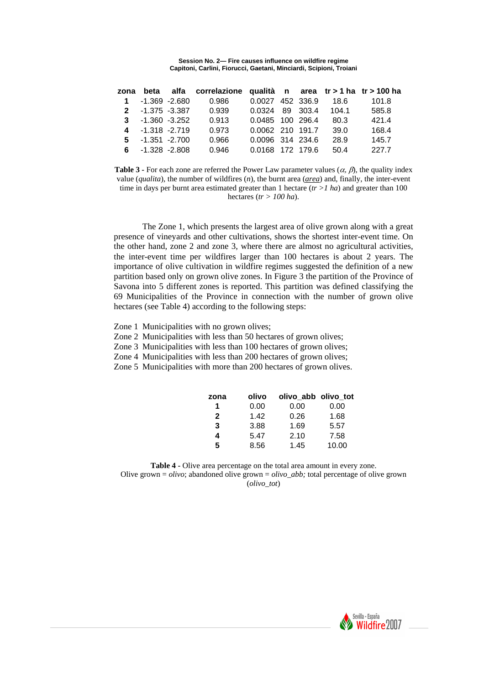|                     |                 | zona beta alfa correlazione qualità n area tr > 1 ha tr > 100 ha |                       |  |       |       |
|---------------------|-----------------|------------------------------------------------------------------|-----------------------|--|-------|-------|
| $1 - 1.369 - 2.680$ |                 | 0.986                                                            | 0.0027 452 336.9 18.6 |  |       | 101.8 |
|                     | 2 -1.375 -3.387 | 0.939                                                            | 0.0324 89 303.4       |  | 104.1 | 585.8 |
| $3 - 1.360 - 3.252$ |                 | 0.913                                                            | 0.0485 100 296.4      |  | 80.3  | 421.4 |
| 4 -1.318 -2.719     |                 | 0.973                                                            | 0.0062 210 191.7      |  | 39.0  | 168.4 |
| $5 - 1.351 - 2.700$ |                 | 0.966                                                            | 0.0096 314 234.6      |  | 28.9  | 145.7 |
| $6 - 1.328 - 2.808$ |                 | 0.946                                                            | 0.0168 172 179.6      |  | 50.4  | 227.7 |

**Table 3 -** For each zone are referred the Power Law parameter values ( $\alpha$ ,  $\beta$ ), the quality index value (*qualita*), the number of wildfires (*n*), the burnt area (*area*) and, finally, the inter-event time in days per burnt area estimated greater than 1 hectare  $(r > 1 h a)$  and greater than 100 hectares (*tr > 100 ha*).

The Zone 1, which presents the largest area of olive grown along with a great presence of vineyards and other cultivations, shows the shortest inter-event time. On the other hand, zone 2 and zone 3, where there are almost no agricultural activities, the inter-event time per wildfires larger than 100 hectares is about 2 years. The importance of olive cultivation in wildfire regimes suggested the definition of a new partition based only on grown olive zones. In Figure 3 the partition of the Province of Savona into 5 different zones is reported. This partition was defined classifying the 69 Municipalities of the Province in connection with the number of grown olive hectares (see Table 4) according to the following steps:

- Zone 1 Municipalities with no grown olives;
- Zone 2 Municipalities with less than 50 hectares of grown olives;
- Zone 3 Municipalities with less than 100 hectares of grown olives;
- Zone 4 Municipalities with less than 200 hectares of grown olives;
- Zone 5 Municipalities with more than 200 hectares of grown olives.

| zona         | olivo | olivo abb olivo tot |       |
|--------------|-------|---------------------|-------|
| 1            | 0.00  | 0.00                | 0.00  |
| $\mathbf{2}$ | 1.42  | 0.26                | 1.68  |
| 3            | 3.88  | 1.69                | 5.57  |
| 4            | 5.47  | 2.10                | 7.58  |
| 5            | 8.56  | 1.45                | 10.00 |

**Table 4 -** Olive area percentage on the total area amount in every zone. Olive grown = *olivo*; abandoned olive grown = *olivo\_abb;* total percentage of olive grown (*olivo\_tot*)

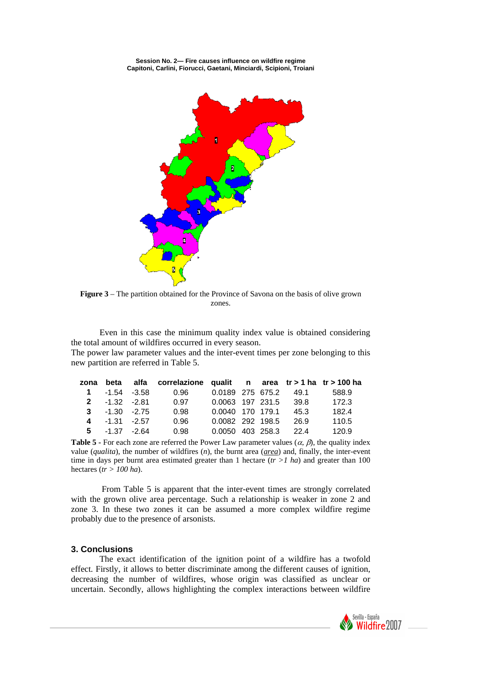

**Figure 3** – The partition obtained for the Province of Savona on the basis of olive grown zones.

Even in this case the minimum quality index value is obtained considering the total amount of wildfires occurred in every season.

The power law parameter values and the inter-event times per zone belonging to this new partition are referred in Table 5.

|                 |                       | zona beta alfa correlazione qualit n area tr > 1 ha tr > 100 ha |                       |  |                       |       |
|-----------------|-----------------------|-----------------------------------------------------------------|-----------------------|--|-----------------------|-------|
|                 | $1 - 1.54 - 3.58$     | 0.96                                                            |                       |  | 0.0189 275 675.2 49.1 | 588.9 |
| $2 -1.32 -2.81$ |                       | 0.97                                                            | 0.0063 197 231.5 39.8 |  |                       | 172.3 |
|                 | $3 -1.30 -2.75$       | 0.98                                                            | 0.0040 170 179.1 45.3 |  |                       | 182.4 |
|                 | $4 \t -1.31 \t -2.57$ | 0.96                                                            | 0.0082 292 198.5 26.9 |  |                       | 110.5 |
|                 | $5 - 1.37 - 2.64$     | 0.98                                                            | 0.0050 403 258.3 22.4 |  |                       | 120.9 |

**Table 5 -** For each zone are referred the Power Law parameter values  $(\alpha, \beta)$ , the quality index value (*qualita*), the number of wildfires (*n*), the burnt area (*area*) and, finally, the inter-event time in days per burnt area estimated greater than 1 hectare (*tr >1 ha*) and greater than 100 hectares (*tr > 100 ha*).

 From Table 5 is apparent that the inter-event times are strongly correlated with the grown olive area percentage. Such a relationship is weaker in zone 2 and zone 3. In these two zones it can be assumed a more complex wildfire regime probably due to the presence of arsonists.

### **3. Conclusions**

The exact identification of the ignition point of a wildfire has a twofold effect. Firstly, it allows to better discriminate among the different causes of ignition, decreasing the number of wildfires, whose origin was classified as unclear or uncertain. Secondly, allows highlighting the complex interactions between wildfire